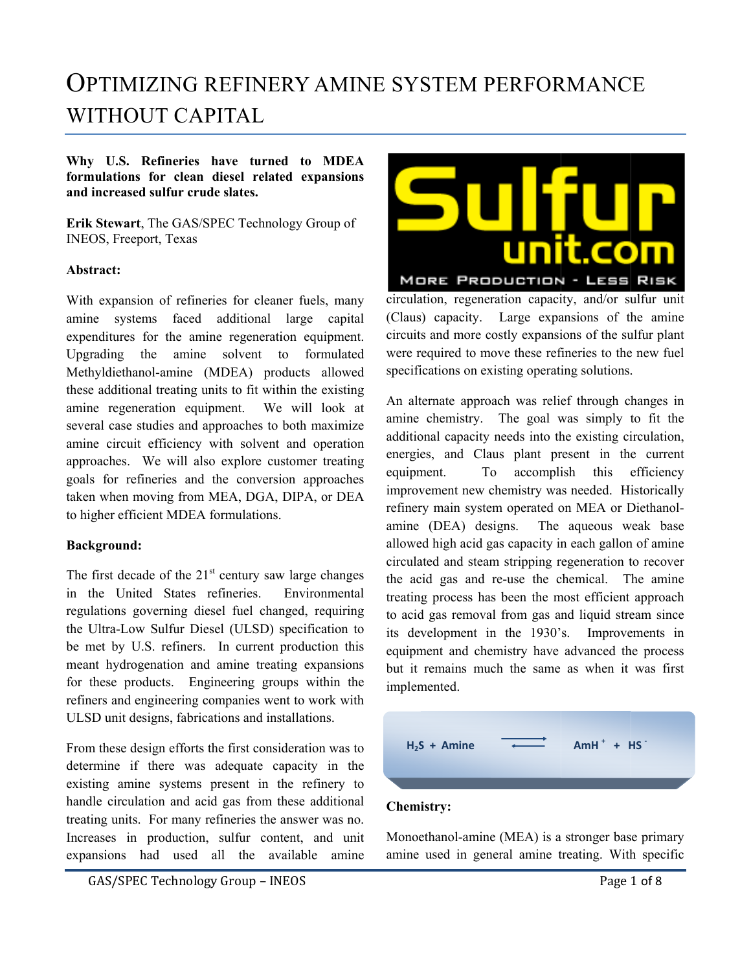# OPTIMIZING REFINERY AMINE SYSTEM PERFORMANCE WITHOUT CAPITAL

Why U.S. Refineries have turned to MDEA formulations for clean diesel related expansions and increased sulfur crude slates.

Erik Stewart, The GAS/SPEC Technology Group of INEOS, Freeport, Texas

## **A Abstract:**

With expansion of refineries for cleaner fuels, many amine systems faced additional large capital expenditures for the amine regeneration equipment. Upgrading the amine solvent to formulated Methyldiethanol-amine (MDEA) products allowed these additional treating units to fit within the existing amine regeneration equipment. We several case studies and approaches to both maximize amine circuit efficiency with solvent and operation approaches. We will also explore customer treating goals for refineries and the conversion approaches taken when moving from MEA, DGA, DIPA, or DEA to higher efficient MDEA formulations. to higher efficient MDEA formulations.<br> **Background:**<br>
The first decade of the 21<sup>st</sup> century saw large changes e will look at

# **B Background: :**

in the United States refineries. regulations governing diesel fuel changed, requiring the Ultra-Low Sulfur Diesel (ULSD) specification to be met by U.S. refiners. In current production this meant hydrogenation and amine treating expansions for these products. Engineering groups within the refiners and engineering companies went to work with ULSD unit designs, fabrications and installations. Environmen tal

From these design efforts the first consideration was to determine if there was adequate capacity in the existing amine systems present in the refinery to handle circulation and acid gas from these additional treating units. For many refineries the answer was no. Increases in production, sulfur content, and unit expansions had used all the available amine



circulation, regeneration capacity, and/or sulfur unit (Claus) capacity. Large expansions of the amine circuits and more costly expansions of the sulfur plant were required to move these refineries to the new fuel specifications on existing operating solutions.

An alternate approach was relief through changes in amine chemistry. The goal was simply to fit the additional capacity needs into the existing circulation, energies, and Claus plant present in the current equipm ment. To improvement new chemistry was needed. Historically refinery main system operated on MEA or Diethanolamine (DEA) designs. The allowed high acid gas capacity in each gallon of amine circulated and steam stripping regeneration to recover the acid gas and re-use the chemical. The amine treating process has been the most efficient approach to acid gas removal from gas and liquid stream since its development in the 1930's. Improvements in equipment and chemistry have advanced the process but it remains mu ch the same as when it was first implem mented. To accomplish this aqueous w weak base efficiency

| $H_2S + Amine$ | $AmH^+ + HS^-$ |
|----------------|----------------|
|                |                |
| $\sim$ $\sim$  |                |

# **Chem istry:**

Monoethanol-amine (MEA) is a stronger base primary amine used in general amine treating. With specific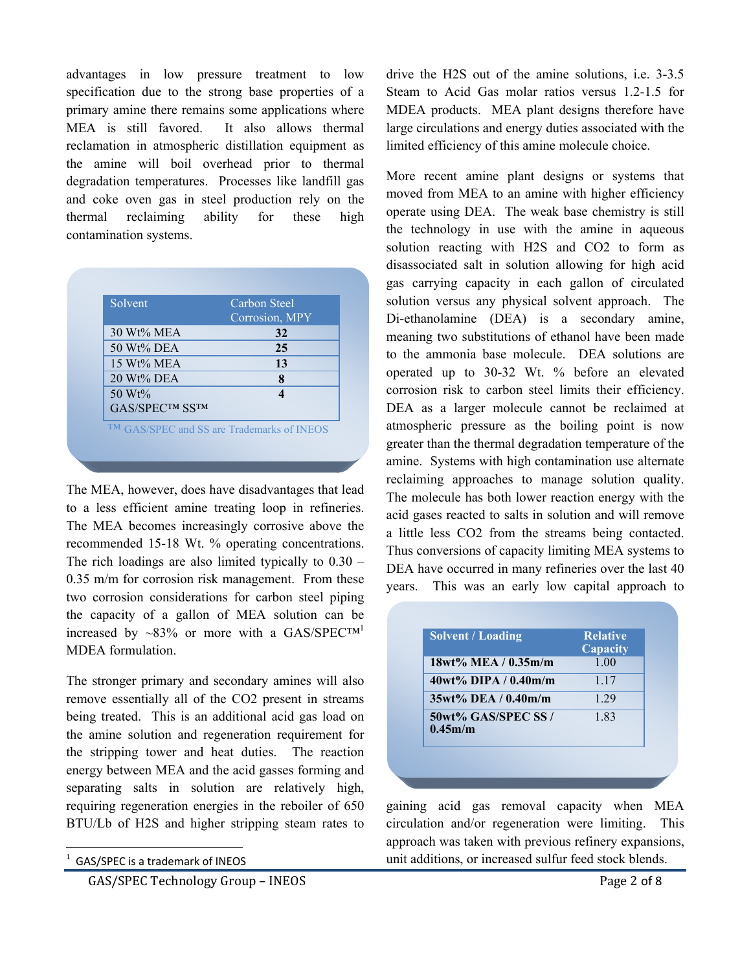advantages in low pressure treatment to low specification due to the strong base properties of a primary amine there remains some applications where MEA is still favored. It also allows thermal reclamation in atmospheric distillation equipment as the amine will boil overhead prior to thermal degradation temperatures. Processes like landfill gas and coke oven gas in steel production rely on the thermal reclaiming ability for these high contamination systems.

| Solvent                | Carbon Steel<br>Corrosion, MPY |
|------------------------|--------------------------------|
| 30 Wt% MEA             | 32                             |
| 50 Wt% DEA             | 25                             |
| 15 Wt% MEA             | 13                             |
| $20 \text{ Wt}$ % DEA  | 8                              |
| 50 Wt%                 |                                |
| <b>GAS/SPECTM SSTM</b> |                                |

The MEA, however, does have disadvantages that lead to a less efficient amine treating loop in refineries. The MEA becomes increasingly corrosive above the recommended 15-18 Wt. % operating concentrations. The rich loadings are also limited typically to 0.30 – 0.35 m/m for corrosion risk management. From these two corrosion considerations for carbon steel piping the capacity of a gallon of MEA solution can be increased by ~83% or more with a GAS/SPEC<sup>TM1</sup> MDEA formulation.

The stronger primary and secondary amines will also remove essentially all of the CO2 present in streams being treated. This is an additional acid gas load on the amine solution and regeneration requirement for the stripping tower and heat duties. The reaction energy between MEA and the acid gasses forming and separating salts in solution are relatively high, requiring regeneration energies in the reboiler of 650 BTU/Lb of H2S and higher stripping steam rates to

GAS/SPEC Technology Group – INEOS **Branch** CAS/SPEC Technology Group – INEOS

drive the H2S out of the amine solutions, i.e. 3-3.5 Steam to Acid Gas molar ratios versus 1.2-1.5 for MDEA products. MEA plant designs therefore have large circulations and energy duties associated with the limited efficiency of this amine molecule choice.

More recent amine plant designs or systems that moved from MEA to an amine with higher efficiency operate using DEA. The weak base chemistry is still the technology in use with the amine in aqueous solution reacting with H2S and CO2 to form as disassociated salt in solution allowing for high acid gas carrying capacity in each gallon of circulated solution versus any physical solvent approach. The Di-ethanolamine (DEA) is a secondary amine, meaning two substitutions of ethanol have been made to the ammonia base molecule. DEA solutions are operated up to 30-32 Wt. % before an elevated corrosion risk to carbon steel limits their efficiency. DEA as a larger molecule cannot be reclaimed at atmospheric pressure as the boiling point is now greater than the thermal degradation temperature of the amine. Systems with high contamination use alternate reclaiming approaches to manage solution quality. The molecule has both lower reaction energy with the acid gases reacted to salts in solution and will remove a little less CO2 from the streams being contacted. Thus conversions of capacity limiting MEA systems to DEA have occurred in many refineries over the last 40 years. This was an early low capital approach to

| <b>Solvent / Loading</b>       | <b>Relative</b><br>Capacity |
|--------------------------------|-----------------------------|
| $18wt\%$ MEA / $0.35m/m$       | 1.00                        |
| 40wt% DIPA / 0.40m/m           | 1.17                        |
| $35wt\%$ DEA / 0.40m/m         | 1 29                        |
| 50wt% GAS/SPEC SS /<br>0.45m/m | 1.83                        |

gaining acid gas removal capacity when MEA circulation and/or regeneration were limiting. This approach was taken with previous refinery expansions, unit additions, or increased sulfur feed stock blends.

 1 GAS/SPEC is a trademark of INEOS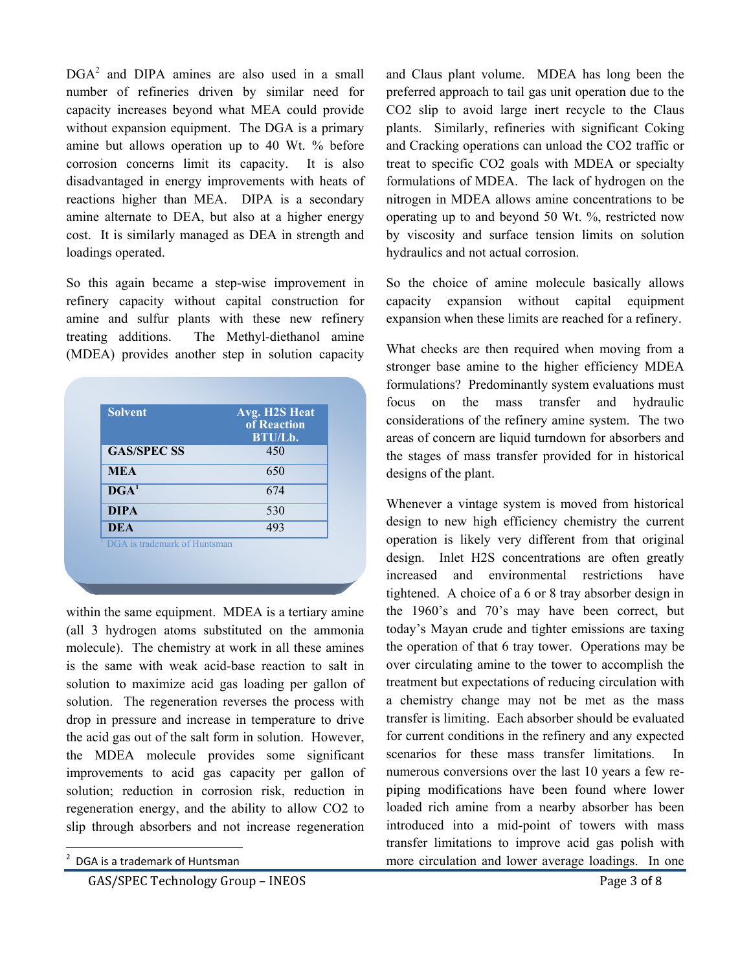DGA<sup>2</sup> and DIPA amines are also used in a small number of refineries driven by similar need for capacity increases beyond what MEA could provide without expansion equipment. The DGA is a primary amine but allows operation up to 40 Wt. % before corrosion concerns limit its capacity. It is also disadvantaged in energy improvements with heats of reactions higher than MEA. DIPA is a secondary amine alternate to DEA, but also at a higher energy cost. It is similarly managed as DEA in strength and loadings operated.

So this again became a step-wise improvement in refinery capacity without capital construction for amine and sulfur plants with these new refinery treating additions. The Methyl-diethanol amine (MDEA) provides another step in solution capacity

| <b>Solvent</b>     | Avg. H2S Heat |
|--------------------|---------------|
|                    | of Reaction   |
|                    | BTU/Lb.       |
| <b>GAS/SPEC SS</b> | 450           |
| <b>MEA</b>         | 650           |
| DGA <sup>1</sup>   | 674           |
| <b>DIPA</b>        | 530           |
| <b>DEA</b>         | 493           |

within the same equipment. MDEA is a tertiary amine (all 3 hydrogen atoms substituted on the ammonia molecule). The chemistry at work in all these amines is the same with weak acid-base reaction to salt in solution to maximize acid gas loading per gallon of solution. The regeneration reverses the process with drop in pressure and increase in temperature to drive the acid gas out of the salt form in solution. However, the MDEA molecule provides some significant improvements to acid gas capacity per gallon of solution; reduction in corrosion risk, reduction in regeneration energy, and the ability to allow CO2 to slip through absorbers and not increase regeneration

GAS/SPEC Technology Group – INEOS Page 3 of 8

and Claus plant volume. MDEA has long been the preferred approach to tail gas unit operation due to the CO2 slip to avoid large inert recycle to the Claus plants. Similarly, refineries with significant Coking and Cracking operations can unload the CO2 traffic or treat to specific CO2 goals with MDEA or specialty formulations of MDEA. The lack of hydrogen on the nitrogen in MDEA allows amine concentrations to be operating up to and beyond 50 Wt. %, restricted now by viscosity and surface tension limits on solution hydraulics and not actual corrosion.

So the choice of amine molecule basically allows capacity expansion without capital equipment expansion when these limits are reached for a refinery.

What checks are then required when moving from a stronger base amine to the higher efficiency MDEA formulations? Predominantly system evaluations must focus on the mass transfer and hydraulic considerations of the refinery amine system. The two areas of concern are liquid turndown for absorbers and the stages of mass transfer provided for in historical designs of the plant.

Whenever a vintage system is moved from historical design to new high efficiency chemistry the current operation is likely very different from that original design. Inlet H2S concentrations are often greatly increased and environmental restrictions have tightened. A choice of a 6 or 8 tray absorber design in the 1960's and 70's may have been correct, but today's Mayan crude and tighter emissions are taxing the operation of that 6 tray tower. Operations may be over circulating amine to the tower to accomplish the treatment but expectations of reducing circulation with a chemistry change may not be met as the mass transfer is limiting. Each absorber should be evaluated for current conditions in the refinery and any expected scenarios for these mass transfer limitations. In numerous conversions over the last 10 years a few repiping modifications have been found where lower loaded rich amine from a nearby absorber has been introduced into a mid-point of towers with mass transfer limitations to improve acid gas polish with more circulation and lower average loadings. In one

 <sup>2</sup> DGA is a trademark of Huntsman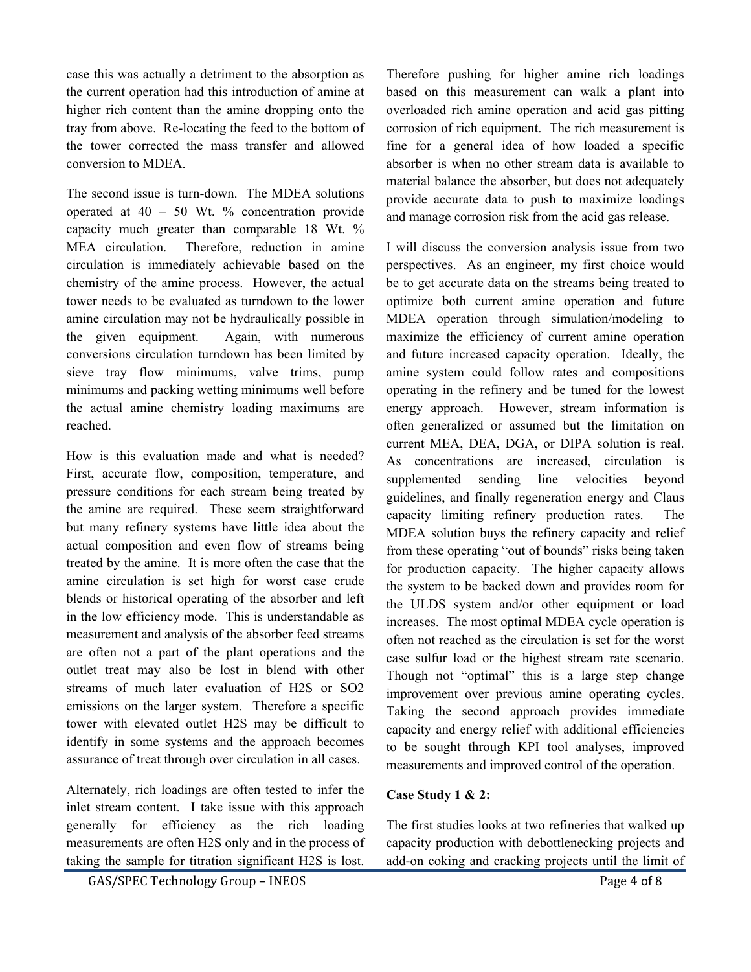case this was actually a detriment to the absorption as the current operation had this introduction of amine at higher rich content than the amine dropping onto the tray from above. Re-locating the feed to the bottom of the tower corrected the mass transfer and allowed conversion to MDEA.

The second issue is turn-down. The MDEA solutions operated at 40 – 50 Wt. % concentration provide capacity much greater than comparable 18 Wt. % MEA circulation. Therefore, reduction in amine circulation is immediately achievable based on the chemistry of the amine process. However, the actual tower needs to be evaluated as turndown to the lower amine circulation may not be hydraulically possible in the given equipment. Again, with numerous conversions circulation turndown has been limited by sieve tray flow minimums, valve trims, pump minimums and packing wetting minimums well before the actual amine chemistry loading maximums are reached.

How is this evaluation made and what is needed? First, accurate flow, composition, temperature, and pressure conditions for each stream being treated by the amine are required. These seem straightforward but many refinery systems have little idea about the actual composition and even flow of streams being treated by the amine. It is more often the case that the amine circulation is set high for worst case crude blends or historical operating of the absorber and left in the low efficiency mode. This is understandable as measurement and analysis of the absorber feed streams are often not a part of the plant operations and the outlet treat may also be lost in blend with other streams of much later evaluation of H2S or SO2 emissions on the larger system. Therefore a specific tower with elevated outlet H2S may be difficult to identify in some systems and the approach becomes assurance of treat through over circulation in all cases.

Alternately, rich loadings are often tested to infer the inlet stream content. I take issue with this approach generally for efficiency as the rich loading measurements are often H2S only and in the process of taking the sample for titration significant H2S is lost.

Therefore pushing for higher amine rich loadings based on this measurement can walk a plant into overloaded rich amine operation and acid gas pitting corrosion of rich equipment. The rich measurement is fine for a general idea of how loaded a specific absorber is when no other stream data is available to material balance the absorber, but does not adequately provide accurate data to push to maximize loadings and manage corrosion risk from the acid gas release.

I will discuss the conversion analysis issue from two perspectives. As an engineer, my first choice would be to get accurate data on the streams being treated to optimize both current amine operation and future MDEA operation through simulation/modeling to maximize the efficiency of current amine operation and future increased capacity operation. Ideally, the amine system could follow rates and compositions operating in the refinery and be tuned for the lowest energy approach. However, stream information is often generalized or assumed but the limitation on current MEA, DEA, DGA, or DIPA solution is real. As concentrations are increased, circulation is supplemented sending line velocities beyond guidelines, and finally regeneration energy and Claus capacity limiting refinery production rates. The MDEA solution buys the refinery capacity and relief from these operating "out of bounds" risks being taken for production capacity. The higher capacity allows the system to be backed down and provides room for the ULDS system and/or other equipment or load increases. The most optimal MDEA cycle operation is often not reached as the circulation is set for the worst case sulfur load or the highest stream rate scenario. Though not "optimal" this is a large step change improvement over previous amine operating cycles. Taking the second approach provides immediate capacity and energy relief with additional efficiencies to be sought through KPI tool analyses, improved measurements and improved control of the operation.

# **Case Study 1 & 2:**

The first studies looks at two refineries that walked up capacity production with debottlenecking projects and add-on coking and cracking projects until the limit of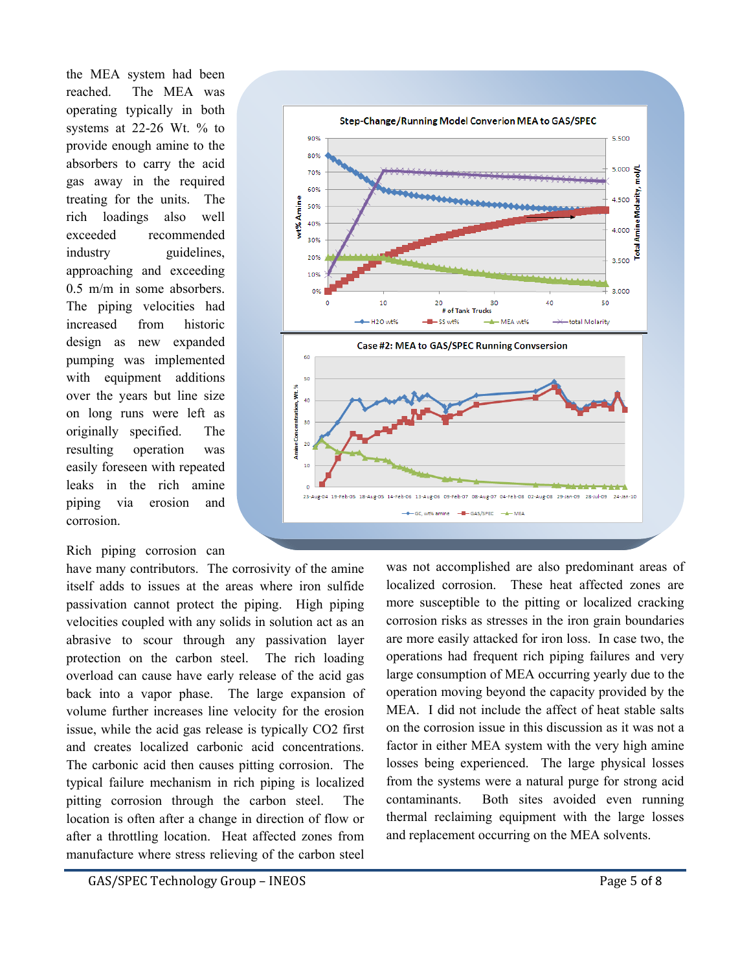the MEA system had been reached. The MEA was operating typically in both systems at 22-26 Wt. % to provide enough amine to the absorbers to carry the acid gas away in the required treating for the units. The rich loadings also well exceeded recommended industry *guidelines*. approaching and exceeding 0.5 m/m in some absorbers. The piping velocities had increased from historic design as new expanded pumping was implemented with equipment additions over the years but line size on long runs were left as originally specified. The resulting operation was easily foreseen with repeated leaks in the rich amine piping via erosion and corrosion.

Rich piping corrosion can





was not accomplished are also predominant areas of localized corrosion. These heat affected zones are more susceptible to the pitting or localized cracking corrosion risks as stresses in the iron grain boundaries are more easily attacked for iron loss. In case two, the operations had frequent rich piping failures and very large consumption of MEA occurring yearly due to the operation moving beyond the capacity provided by the MEA. I did not include the affect of heat stable salts on the corrosion issue in this discussion as it was not a factor in either MEA system with the very high amine losses being experienced. The large physical losses from the systems were a natural purge for strong acid contaminants. Both sites avoided even running thermal reclaiming equipment with the large losses and replacement occurring on the MEA solvents.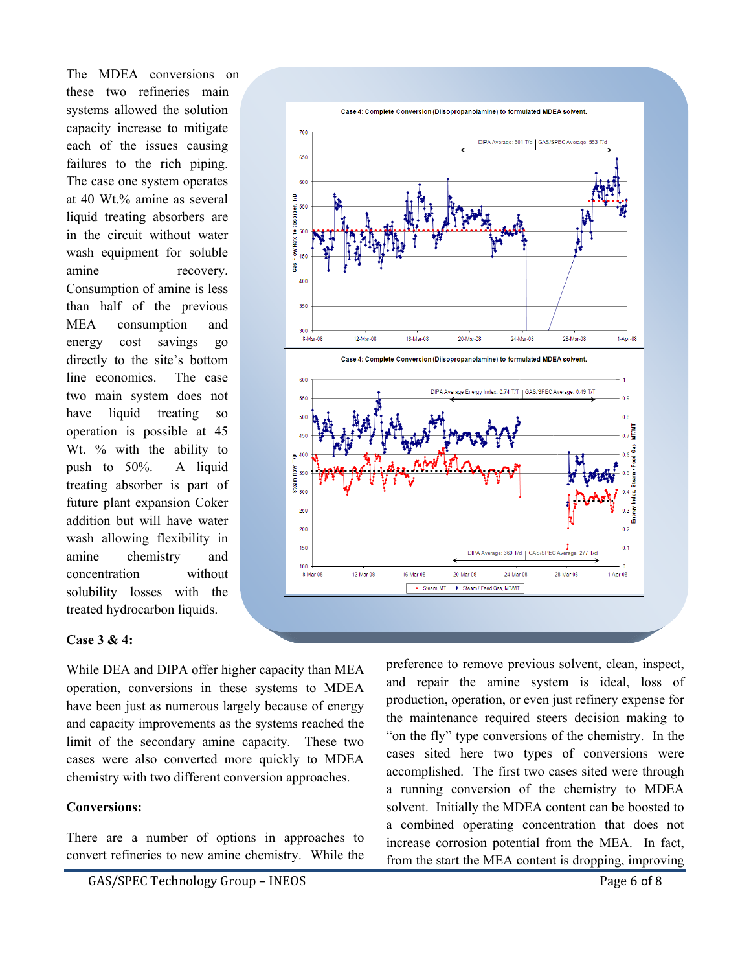The MDEA conversions on these two refineries main systems allowed the solution capacity increase to mitigate each of the issues causing failures to the rich piping. The case one system operates at 40 Wt.% amine as several liquid treating absorbers are in the circuit without water wash equipment for soluble amine recovery. Consumption of amine is less than half of the previous MEA consumption and energy cost savings go directly to the site's bottom line economics. The case two main system does not have liquid treating so operation is possible at 45 Wt. % with the ability to push to 50%. A liquid treating absorber is part of future plant expansion Coker addition but will have water wash allowing flexibility in amine chemistry and concentration without solubility losses with the treated hydrocarbon liquids.



#### **Case 3 & 4:**

While DEA and DIPA offer higher capacity than MEA operation, conversions in these systems to MDEA have been just as numerous largely because of energy and capacity improvements as the systems reached the limit of the secondary amine capacity. These two cases were also converted more quickly to MDEA chemistry with two different conversion approaches.

### **Conversions:**

There are a number of options in approaches to convert refineries to new amine chemistry. While the preference to remove previous solvent, clean, inspect, and repair the amine system is ideal, loss of production, operation, or even just refinery expense for the maintenance required steers decision making to "on the fly" type conversions of the chemistry. In the cases sited here two types of conversions were accomplished. The first two cases sited were through a running conversion of the chemistry to MDEA solvent. Initially the MDEA content can be boosted to a combined operating concentration that does not increase corrosion potential from the MEA. In fact, from the start the MEA content is dropping, improving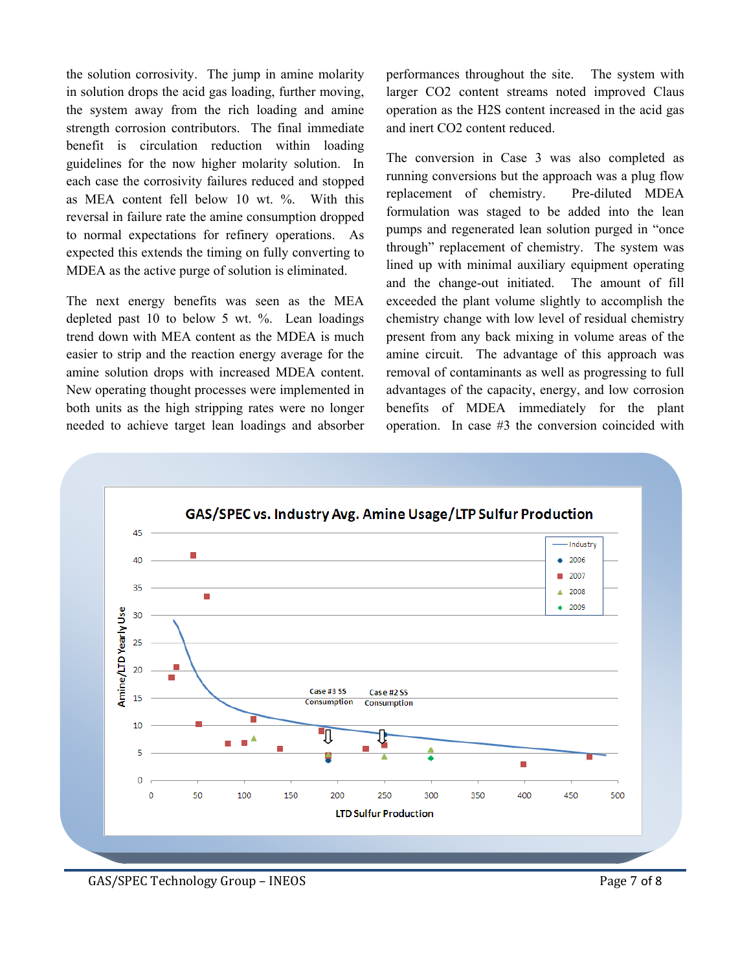the solution corrosivity. The jump in amine molarity in solution drops the acid gas loading, further moving, the system away from the rich loading and amine strength corrosion contributors. The final immediate benefit is circulation reduction within loading guidelines for the now higher molarity solution. In each case the corrosivity failures reduced and stopped as MEA content fell below 10 wt. %. With this reversal in failure rate the amine consumption dropped to normal expectations for refinery operations. As expected this extends the timing on fully converting to MDEA as the active purge of solution is eliminated.

The next energy benefits was seen as the MEA depleted past 10 to below 5 wt. %. Lean loadings trend down with MEA content as the MDEA is much easier to strip and the reaction energy average for the amine solution drops with increased MDEA content. New operating thought processes were implemented in both units as the high stripping rates were no longer needed to achieve target lean loadings and absorber

performances throughout the site. The system with larger CO2 content streams noted improved Claus operation as the H2S content increased in the acid gas and inert CO2 content reduced.

The conversion in Case 3 was also completed as running conversions but the approach was a plug flow replacement of chemistry. Pre-diluted MDEA formulation was staged to be added into the lean pumps and regenerated lean solution purged in "once through" replacement of chemistry. The system was lined up with minimal auxiliary equipment operating and the change-out initiated. The amount of fill exceeded the plant volume slightly to accomplish the chemistry change with low level of residual chemistry present from any back mixing in volume areas of the amine circuit. The advantage of this approach was removal of contaminants as well as progressing to full advantages of the capacity, energy, and low corrosion benefits of MDEA immediately for the plant operation. In case #3 the conversion coincided with



GAS/SPEC Technology Group – INEOS **Branch** CAS/SPEC Technology Group – INEOS